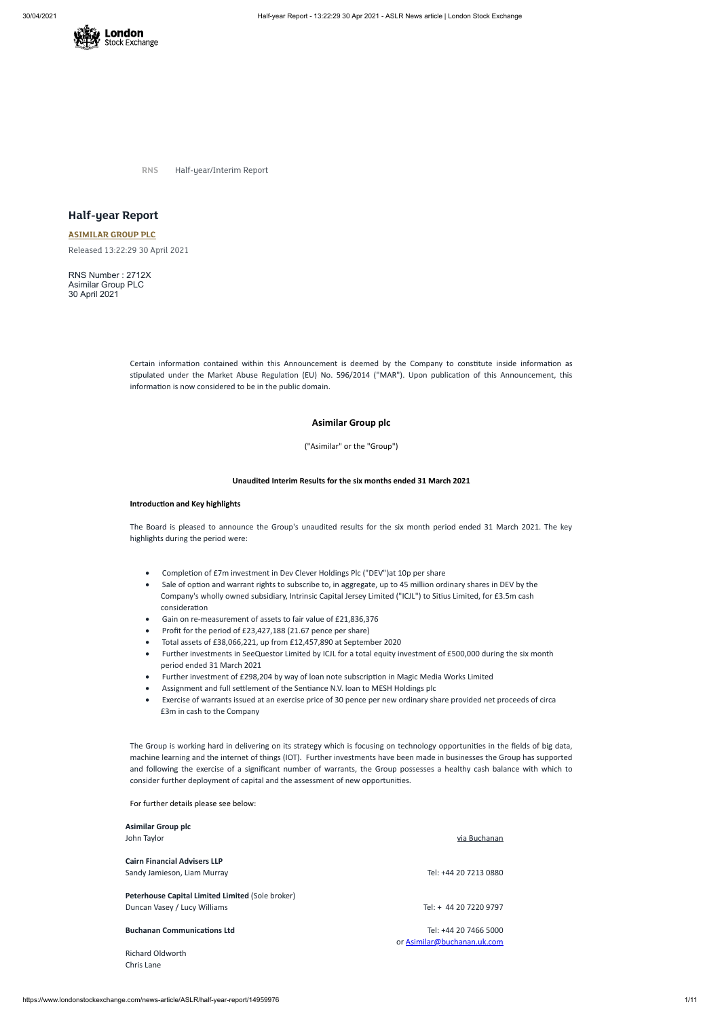

**RNS** Half-year/Interim Report

# **Half-year Report**

**[ASIMILAR](https://www.londonstockexchange.com/stock/ASLR/asimilar-group-plc) GROUP PLC** Released 13:22:29 30 April 2021

RNS Number : 2712X Asimilar Group PLC 30 April 2021

> Certain information contained within this Announcement is deemed by the Company to constitute inside information as stipulated under the Market Abuse Regulation (EU) No. 596/2014 ("MAR"). Upon publication of this Announcement, this information is now considered to be in the public domain.

# **Asimilar Group plc**

("Asimilar" or the "Group")

### **Unaudited Interim Results for the six months ended 31 March 2021**

### **Introduction and Key highlights**

The Board is pleased to announce the Group's unaudited results for the six month period ended 31 March 2021. The key highlights during the period were:

- Completion of £7m investment in Dev Clever Holdings Plc ("DEV")at 10p per share
- Sale of option and warrant rights to subscribe to, in aggregate, up to 45 million ordinary shares in DEV by the Company's wholly owned subsidiary, Intrinsic Capital Jersey Limited ("ICJL") to Sitius Limited, for £3.5m cash consideration
- · Gain on re-measurement of assets to fair value of £21,836,376
- · Profit for the period of £23,427,188 (21.67 pence per share)
- · Total assets of £38,066,221, up from £12,457,890 at September 2020
- · Further investments in SeeQuestor Limited by ICJL for a total equity investment of £500,000 during the six month period ended 31 March 2021
- Further investment of £298,204 by way of loan note subscription in Magic Media Works Limited
- Assignment and full settlement of the Sentiance N.V. loan to MESH Holdings plc
- · Exercise of warrants issued at an exercise price of 30 pence per new ordinary share provided net proceeds of circa £3m in cash to the Company

The Group is working hard in delivering on its strategy which is focusing on technology opportunities in the fields of big data, machine learning and the internet of things (IOT). Further investments have been made in businesses the Group has supported and following the exercise of a significant number of warrants, the Group possesses a healthy cash balance with which to consider further deployment of capital and the assessment of new opportunies.

**Asimilar Group plc** John Taylor via Buchanan via Buchanan via Buchanan via Buchanan via Buchanan via Buchanan via Buchanan via Buch

**Peterhouse Capital Limited Limited** (Sole broker) Duncan Vasey / Lucy Williams Tel: + 44 20 7220 9797

**Buchanan Communications Ltd Communications Ltd Communications Ltd Communications Ltd Communications Ltd Communications Ltd Communications Ltd Communications Ltd** 

For further details please see below:

**Cairn Financial Advisers LLP**

Sandy Jamieson, Liam Murray Tel: +44 20 7213 0880

or [Asimilar@buchanan.uk.com](mailto:Asimilar@buchanan.uk.com)

https://www.londonstockexchange.com/news-article/ASLR/half-year-report/14959976 1/11

Richard Oldworth Chris Lane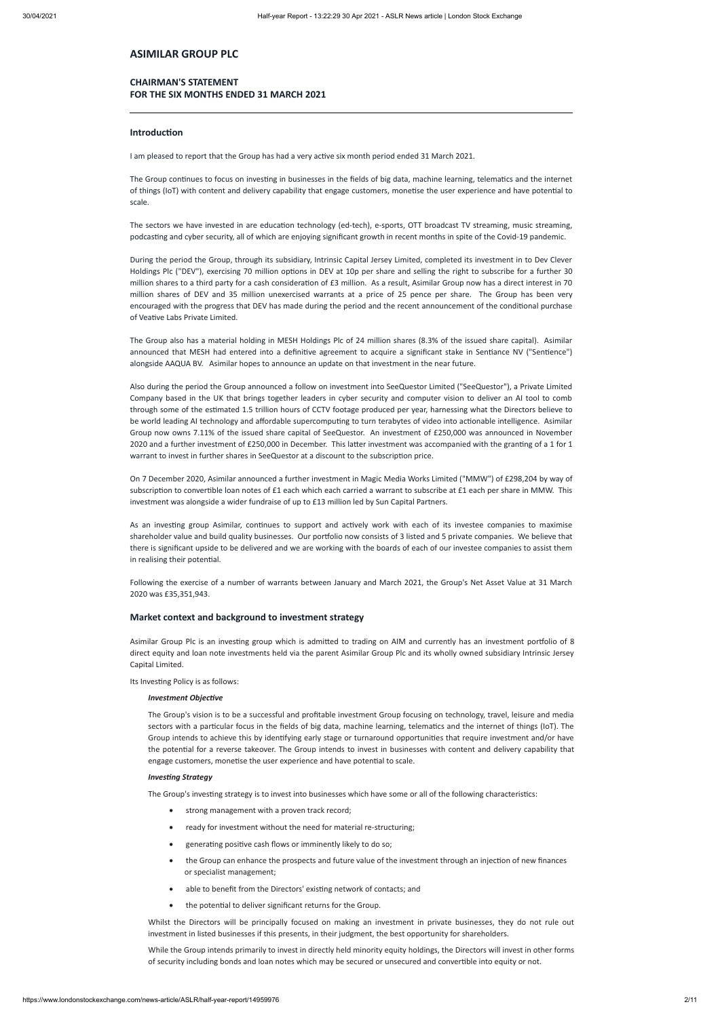# **ASIMILAR GROUP PLC**

# **CHAIRMAN'S STATEMENT FOR THE SIX MONTHS ENDED 31 MARCH 2021**

## **Introduction**

I am pleased to report that the Group has had a very active six month period ended 31 March 2021.

The Group continues to focus on investing in businesses in the fields of big data, machine learning, telematics and the internet of things (IoT) with content and delivery capability that engage customers, monetise the user experience and have potential to scale.

The sectors we have invested in are education technology (ed-tech), e-sports, OTT broadcast TV streaming, music streaming, podcasting and cyber security, all of which are enjoying significant growth in recent months in spite of the Covid-19 pandemic.

During the period the Group, through its subsidiary, Intrinsic Capital Jersey Limited, completed its investment in to Dev Clever Holdings Plc ("DEV"), exercising 70 million options in DEV at 10p per share and selling the right to subscribe for a further 30 million shares to a third party for a cash consideration of £3 million. As a result, Asimilar Group now has a direct interest in 70 million shares of DEV and 35 million unexercised warrants at a price of 25 pence per share. The Group has been very encouraged with the progress that DEV has made during the period and the recent announcement of the conditional purchase of Veative Labs Private Limited.

Also during the period the Group announced a follow on investment into SeeQuestor Limited ("SeeQuestor"), a Private Limited Company based in the UK that brings together leaders in cyber security and computer vision to deliver an AI tool to comb through some of the estimated 1.5 trillion hours of CCTV footage produced per year, harnessing what the Directors believe to be world leading AI technology and affordable supercomputing to turn terabytes of video into actionable intelligence. Asimilar Group now owns 7.11% of the issued share capital of SeeQuestor. An investment of £250,000 was announced in November 2020 and a further investment of £250,000 in December. This latter investment was accompanied with the granting of a 1 for 1 warrant to invest in further shares in SeeQuestor at a discount to the subscription price.

The Group also has a material holding in MESH Holdings Plc of 24 million shares (8.3% of the issued share capital). Asimilar announced that MESH had entered into a definitive agreement to acquire a significant stake in Sentiance NV ("Sentience") alongside AAQUA BV. Asimilar hopes to announce an update on that investment in the near future.

Asimilar Group Plc is an investing group which is admitted to trading on AIM and currently has an investment portfolio of 8 direct equity and loan note investments held via the parent Asimilar Group Plc and its wholly owned subsidiary Intrinsic Jersey Capital Limited.

Its Investing Policy is as follows:

# **Investment Objective**

The Group's vision is to be a successful and profitable investment Group focusing on technology, travel, leisure and media sectors with a particular focus in the fields of big data, machine learning, telematics and the internet of things (IoT). The Group intends to achieve this by identifying early stage or turnaround opportunities that require investment and/or have the potential for a reverse takeover. The Group intends to invest in businesses with content and delivery capability that engage customers, monetise the user experience and have potential to scale.

## **Investing Strategy**

The Group's investing strategy is to invest into businesses which have some or all of the following characteristics:

- strong management with a proven track record;
- · ready for investment without the need for material re-structuring;
- generating positive cash flows or imminently likely to do so;
- the Group can enhance the prospects and future value of the investment through an injection of new finances or specialist management;
- able to benefit from the Directors' existing network of contacts; and
- the potential to deliver significant returns for the Group.

On 7 December 2020, Asimilar announced a further investment in Magic Media Works Limited ("MMW") of £298,204 by way of subscription to convertible loan notes of £1 each which each carried a warrant to subscribe at £1 each per share in MMW. This investment was alongside a wider fundraise of up to £13 million led by Sun Capital Partners.

As an investing group Asimilar, continues to support and actively work with each of its investee companies to maximise shareholder value and build quality businesses. Our portfolio now consists of 3 listed and 5 private companies. We believe that there is significant upside to be delivered and we are working with the boards of each of our investee companies to assist them in realising their potential.

Following the exercise of a number of warrants between January and March 2021, the Group's Net Asset Value at 31 March 2020 was £35,351,943.

#### **Market context and background to investment strategy**

Whilst the Directors will be principally focused on making an investment in private businesses, they do not rule out investment in listed businesses if this presents, in their judgment, the best opportunity for shareholders.

While the Group intends primarily to invest in directly held minority equity holdings, the Directors will invest in other forms of security including bonds and loan notes which may be secured or unsecured and converble into equity or not.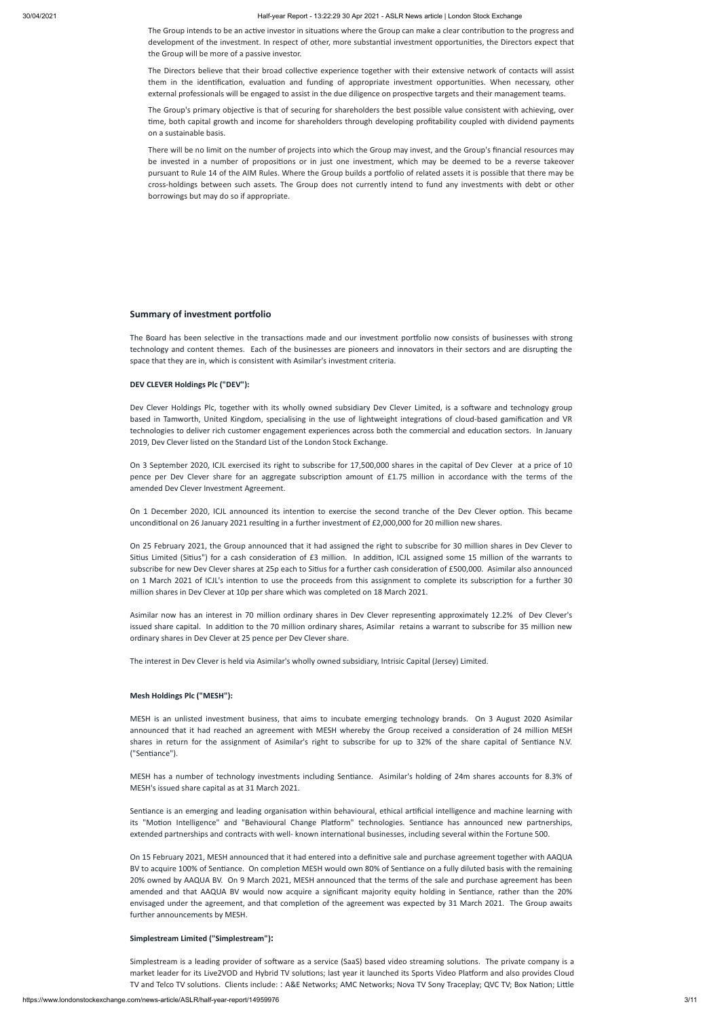The Group intends to be an active investor in situations where the Group can make a clear contribution to the progress and development of the investment. In respect of other, more substantial investment opportunities, the Directors expect that the Group will be more of a passive investor.

The Directors believe that their broad collective experience together with their extensive network of contacts will assist them in the identification, evaluation and funding of appropriate investment opportunities. When necessary, other external professionals will be engaged to assist in the due diligence on prospective targets and their management teams.

The Group's primary objective is that of securing for shareholders the best possible value consistent with achieving, over me, both capital growth and income for shareholders through developing profitability coupled with dividend payments on a sustainable basis.

The Board has been selective in the transactions made and our investment portfolio now consists of businesses with strong technology and content themes. Each of the businesses are pioneers and innovators in their sectors and are disrupting the space that they are in, which is consistent with Asimilar's investment criteria.

Dev Clever Holdings Plc, together with its wholly owned subsidiary Dev Clever Limited, is a software and technology group based in Tamworth, United Kingdom, specialising in the use of lightweight integrations of cloud-based gamification and VR technologies to deliver rich customer engagement experiences across both the commercial and education sectors. In January 2019, Dev Clever listed on the Standard List of the London Stock Exchange.

There will be no limit on the number of projects into which the Group may invest, and the Group's financial resources may be invested in a number of propositions or in just one investment, which may be deemed to be a reverse takeover pursuant to Rule 14 of the AIM Rules. Where the Group builds a portfolio of related assets it is possible that there may be cross-holdings between such assets. The Group does not currently intend to fund any investments with debt or other borrowings but may do so if appropriate.

#### **Summary of investment portfolio**

Asimilar now has an interest in 70 million ordinary shares in Dev Clever representing approximately 12.2% of Dev Clever's issued share capital. In addition to the 70 million ordinary shares, Asimilar retains a warrant to subscribe for 35 million new ordinary shares in Dev Clever at 25 pence per Dev Clever share.

# **DEV CLEVER Holdings Plc ("DEV"):**

MESH is an unlisted investment business, that aims to incubate emerging technology brands. On 3 August 2020 Asimilar announced that it had reached an agreement with MESH whereby the Group received a consideration of 24 million MESH shares in return for the assignment of Asimilar's right to subscribe for up to 32% of the share capital of Sentiance N.V. ("Sentiance").

MESH has a number of technology investments including Sentiance. Asimilar's holding of 24m shares accounts for 8.3% of MESH's issued share capital as at 31 March 2021.

Sentiance is an emerging and leading organisation within behavioural, ethical artificial intelligence and machine learning with its "Motion Intelligence" and "Behavioural Change Platform" technologies. Sentiance has announced new partnerships, extended partnerships and contracts with well- known international businesses, including several within the Fortune 500.

On 3 September 2020, ICJL exercised its right to subscribe for 17,500,000 shares in the capital of Dev Clever at a price of 10 pence per Dev Clever share for an aggregate subscription amount of £1.75 million in accordance with the terms of the amended Dev Clever Investment Agreement.

On 1 December 2020, ICJL announced its intention to exercise the second tranche of the Dev Clever option. This became unconditional on 26 January 2021 resulting in a further investment of £2,000,000 for 20 million new shares.

On 15 February 2021, MESH announced that it had entered into a definitive sale and purchase agreement together with AAQUA BV to acquire 100% of Sentiance. On completion MESH would own 80% of Sentiance on a fully diluted basis with the remaining 20% owned by AAQUA BV. On 9 March 2021, MESH announced that the terms of the sale and purchase agreement has been amended and that AAQUA BV would now acquire a significant majority equity holding in Sentiance, rather than the 20% envisaged under the agreement, and that completion of the agreement was expected by 31 March 2021. The Group awaits further announcements by MESH.

On 25 February 2021, the Group announced that it had assigned the right to subscribe for 30 million shares in Dev Clever to Sitius Limited (Sitius") for a cash consideration of £3 million. In addition, ICJL assigned some 15 million of the warrants to subscribe for new Dev Clever shares at 25p each to Sitius for a further cash consideration of £500,000. Asimilar also announced on 1 March 2021 of ICJL's intention to use the proceeds from this assignment to complete its subscription for a further 30 million shares in Dev Clever at 10p per share which was completed on 18 March 2021.

The interest in Dev Clever is held via Asimilar's wholly owned subsidiary, Intrisic Capital (Jersey) Limited.

### **Mesh Holdings Plc ("MESH"):**

# **Simplestream Limited ("Simplestream"):**

Simplestream is a leading provider of software as a service (SaaS) based video streaming solutions. The private company is a market leader for its Live2VOD and Hybrid TV solutions; last year it launched its Sports Video Platform and also provides Cloud TV and Telco TV solutions. Clients include: : A&E Networks; AMC Networks; Nova TV Sony Traceplay; QVC TV; Box Nation; Little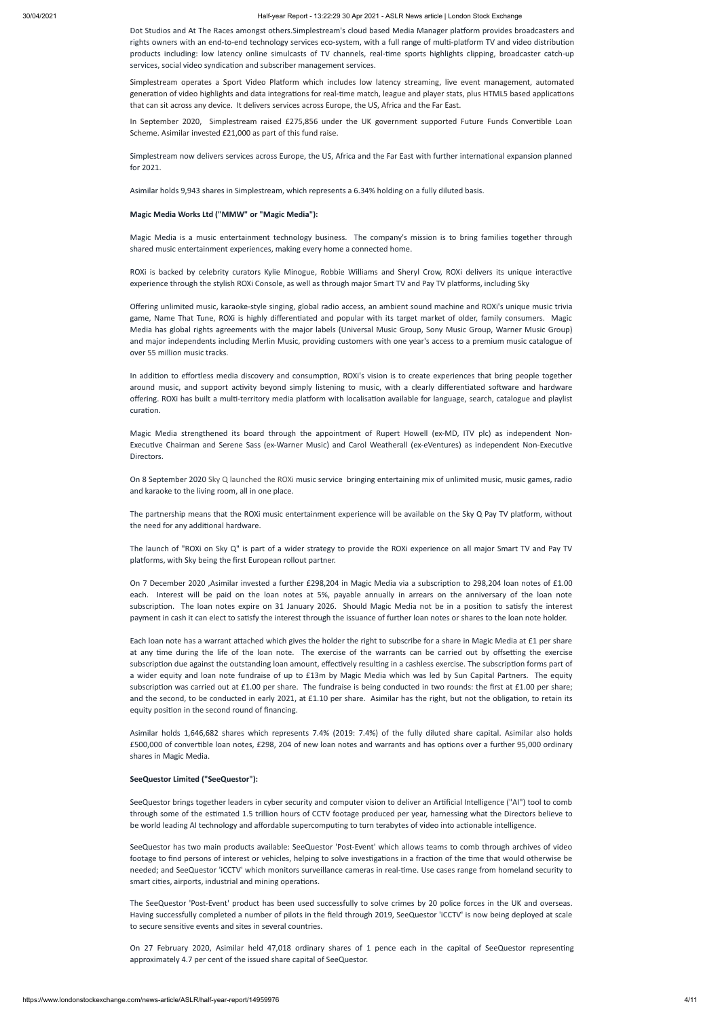Dot Studios and At The Races amongst others. Simplestream's cloud based Media Manager platform provides broadcasters and rights owners with an end-to-end technology services eco-system, with a full range of multi-platform TV and video distribution products including: low latency online simulcasts of TV channels, real-time sports highlights clipping, broadcaster catch-up services, social video syndication and subscriber management services.

Simplestream operates a Sport Video Platform which includes low latency streaming, live event management, automated generation of video highlights and data integrations for real-time match, league and player stats, plus HTML5 based applications that can sit across any device. It delivers services across Europe, the US, Africa and the Far East.

In September 2020, Simplestream raised £275,856 under the UK government supported Future Funds Convertible Loan Scheme. Asimilar invested £21,000 as part of this fund raise.

Simplestream now delivers services across Europe, the US, Africa and the Far East with further international expansion planned for 2021.

Asimilar holds 9,943 shares in Simplestream, which represents a 6.34% holding on a fully diluted basis.

#### **Magic Media Works Ltd ("MMW" or "Magic Media"):**

Magic Media is a music entertainment technology business. The company's mission is to bring families together through shared music entertainment experiences, making every home a connected home.

ROXi is backed by celebrity curators Kylie Minogue, Robbie Williams and Sheryl Crow, ROXi delivers its unique interactive experience through the stylish ROXi Console, as well as through major Smart TV and Pay TV platforms, including Sky

The launch of "ROXi on Sky Q" is part of a wider strategy to provide the ROXi experience on all major Smart TV and Pay TV platforms, with Sky being the first European rollout partner.

On 7 December 2020 ,Asimilar invested a further £298,204 in Magic Media via a subscription to 298,204 loan notes of £1.00 each. Interest will be paid on the loan notes at 5%, payable annually in arrears on the anniversary of the loan note subscription. The loan notes expire on 31 January 2026. Should Magic Media not be in a position to satisfy the interest payment in cash it can elect to satisfy the interest through the issuance of further loan notes or shares to the loan note holder.

Each loan note has a warrant attached which gives the holder the right to subscribe for a share in Magic Media at £1 per share at any time during the life of the loan note. The exercise of the warrants can be carried out by offsetting the exercise subscription due against the outstanding loan amount, effectively resulting in a cashless exercise. The subscription forms part of a wider equity and loan note fundraise of up to £13m by Magic Media which was led by Sun Capital Partners. The equity subscription was carried out at £1.00 per share. The fundraise is being conducted in two rounds: the first at £1.00 per share; and the second, to be conducted in early 2021, at £1.10 per share. Asimilar has the right, but not the obligation, to retain its equity position in the second round of financing.

Offering unlimited music, karaoke-style singing, global radio access, an ambient sound machine and ROXi's unique music trivia game, Name That Tune, ROXi is highly differentiated and popular with its target market of older, family consumers. Magic Media has global rights agreements with the major labels (Universal Music Group, Sony Music Group, Warner Music Group) and major independents including Merlin Music, providing customers with one year's access to a premium music catalogue of over 55 million music tracks.

In addition to effortless media discovery and consumption, ROXi's vision is to create experiences that bring people together around music, and support activity beyond simply listening to music, with a clearly differentiated software and hardware offering. ROXi has built a multi-territory media platform with localisation available for language, search, catalogue and playlist curation.

SeeQuestor brings together leaders in cyber security and computer vision to deliver an Arficial Intelligence ("AI") tool to comb through some of the estimated 1.5 trillion hours of CCTV footage produced per year, harnessing what the Directors believe to be world leading AI technology and affordable supercomputing to turn terabytes of video into actionable intelligence.

SeeQuestor has two main products available: SeeQuestor 'Post-Event' which allows teams to comb through archives of video footage to find persons of interest or vehicles, helping to solve investigations in a fraction of the time that would otherwise be needed; and SeeQuestor 'iCCTV' which monitors surveillance cameras in real-time. Use cases range from homeland security to smart cities, airports, industrial and mining operations.

Magic Media strengthened its board through the appointment of Rupert Howell (ex-MD, ITV plc) as independent Non-Executive Chairman and Serene Sass (ex-Warner Music) and Carol Weatherall (ex-eVentures) as independent Non-Executive Directors.

The SeeQuestor 'Post-Event' product has been used successfully to solve crimes by 20 police forces in the UK and overseas. Having successfully completed a number of pilots in the field through 2019, SeeQuestor 'iCCTV' is now being deployed at scale to secure sensitive events and sites in several countries.

On 8 September 2020 Sky Q launched the ROXi music service bringing entertaining mix of unlimited music, music games, radio and karaoke to the living room, all in one place.

The partnership means that the ROXi music entertainment experience will be available on the Sky Q Pay TV platform, without the need for any additional hardware.

On 27 February 2020, Asimilar held 47,018 ordinary shares of 1 pence each in the capital of SeeQuestor representing approximately 4.7 per cent of the issued share capital of SeeQuestor.

Asimilar holds 1,646,682 shares which represents 7.4% (2019: 7.4%) of the fully diluted share capital. Asimilar also holds £500,000 of convertible loan notes, £298, 204 of new loan notes and warrants and has options over a further 95,000 ordinary shares in Magic Media.

#### **SeeQuestor Limited ("SeeQuestor"):**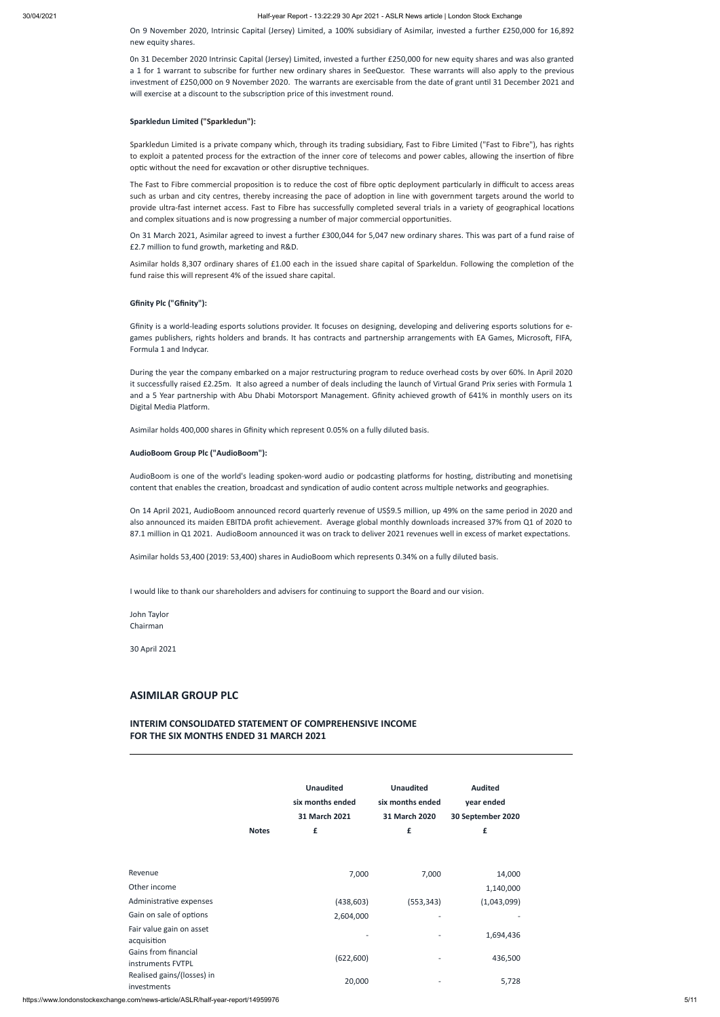https://www.londonstockexchange.com/news-article/ASLR/half-year-report/14959976 5/11

0n 31 December 2020 Intrinsic Capital (Jersey) Limited, invested a further £250,000 for new equity shares and was also granted a 1 for 1 warrant to subscribe for further new ordinary shares in SeeQuestor. These warrants will also apply to the previous investment of £250,000 on 9 November 2020. The warrants are exercisable from the date of grant until 31 December 2021 and will exercise at a discount to the subscription price of this investment round.

On 9 November 2020, Intrinsic Capital (Jersey) Limited, a 100% subsidiary of Asimilar, invested a further £250,000 for 16,892 new equity shares.

Sparkledun Limited is a private company which, through its trading subsidiary, Fast to Fibre Limited ("Fast to Fibre"), has rights to exploit a patented process for the extraction of the inner core of telecoms and power cables, allowing the insertion of fibre optic without the need for excavation or other disruptive techniques.

The Fast to Fibre commercial proposition is to reduce the cost of fibre optic deployment particularly in difficult to access areas such as urban and city centres, thereby increasing the pace of adoption in line with government targets around the world to provide ultra-fast internet access. Fast to Fibre has successfully completed several trials in a variety of geographical locations and complex situations and is now progressing a number of major commercial opportunities.

#### **Sparkledun Limited ("Sparkledun"):**

On 31 March 2021, Asimilar agreed to invest a further £300,044 for 5,047 new ordinary shares. This was part of a fund raise of £2.7 million to fund growth, marketing and R&D.

Asimilar holds 8,307 ordinary shares of £1.00 each in the issued share capital of Sparkeldun. Following the completion of the fund raise this will represent 4% of the issued share capital.

Gfinity is a world-leading esports solutions provider. It focuses on designing, developing and delivering esports solutions for egames publishers, rights holders and brands. It has contracts and partnership arrangements with EA Games, Microsoft, FIFA, Formula 1 and Indycar.

During the year the company embarked on a major restructuring program to reduce overhead costs by over 60%. In April 2020 it successfully raised £2.25m. It also agreed a number of deals including the launch of Virtual Grand Prix series with Formula 1 and a 5 Year partnership with Abu Dhabi Motorsport Management. Gfinity achieved growth of 641% in monthly users on its Digital Media Platform.

On 14 April 2021, AudioBoom announced record quarterly revenue of US\$9.5 million, up 49% on the same period in 2020 and also announced its maiden EBITDA profit achievement. Average global monthly downloads increased 37% from Q1 of 2020 to 87.1 million in Q1 2021. AudioBoom announced it was on track to deliver 2021 revenues well in excess of market expectations.

### **Gfinity Plc ("Gfinity"):**

Asimilar holds 400,000 shares in Gfinity which represent 0.05% on a fully diluted basis.

#### **AudioBoom Group Plc ("AudioBoom"):**

AudioBoom is one of the world's leading spoken-word audio or podcasting platforms for hosting, distributing and monetising content that enables the creation, broadcast and syndication of audio content across multiple networks and geographies.

Asimilar holds 53,400 (2019: 53,400) shares in AudioBoom which represents 0.34% on a fully diluted basis.

I would like to thank our shareholders and advisers for continuing to support the Board and our vision.

John Taylor Chairman

30 April 2021

# **ASIMILAR GROUP PLC**

# **INTERIM CONSOLIDATED STATEMENT OF COMPREHENSIVE INCOME FOR THE SIX MONTHS ENDED 31 MARCH 2021**

|                                           |              | <b>Unaudited</b><br>six months ended | <b>Unaudited</b><br>six months ended | <b>Audited</b><br>year ended |
|-------------------------------------------|--------------|--------------------------------------|--------------------------------------|------------------------------|
|                                           |              | 31 March 2021                        | 31 March 2020                        | 30 September 2020            |
|                                           | <b>Notes</b> | £                                    | £                                    | £                            |
| Revenue                                   |              | 7,000                                | 7,000                                | 14,000                       |
| Other income                              |              |                                      |                                      | 1,140,000                    |
| Administrative expenses                   |              | (438, 603)                           | (553, 343)                           | (1,043,099)                  |
| Gain on sale of options                   |              | 2,604,000                            | $\overline{\phantom{a}}$             |                              |
| Fair value gain on asset<br>acquisition   |              |                                      | $\overline{\phantom{a}}$             | 1,694,436                    |
| Gains from financial<br>instruments FVTPL |              | (622, 600)                           |                                      | 436,500                      |
| Realised gains/(losses) in<br>investments |              | 20,000                               | ٠                                    | 5,728                        |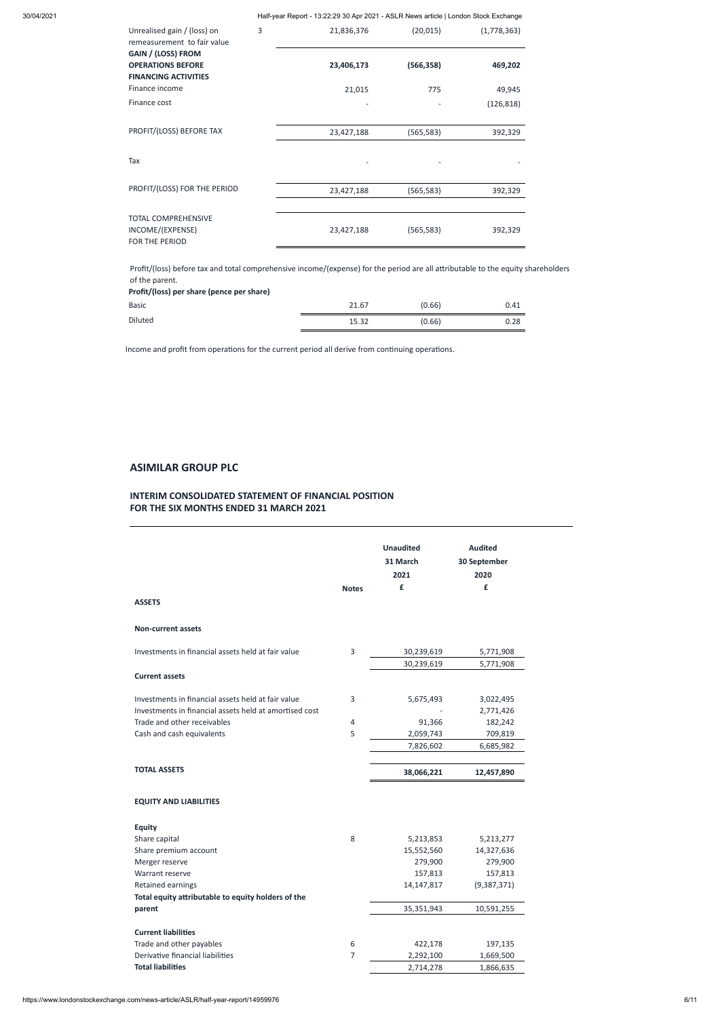Profit/(loss) before tax and total comprehensive income/(expense) for the period are all attributable to the equity shareholders of the parent.

| Unrealised gain / (loss) on<br>remeasurement to fair value                    | 3 | 21,836,376 | (20, 015)  | (1,778,363) |
|-------------------------------------------------------------------------------|---|------------|------------|-------------|
| GAIN / (LOSS) FROM<br><b>OPERATIONS BEFORE</b><br><b>FINANCING ACTIVITIES</b> |   | 23,406,173 | (566, 358) | 469,202     |
| Finance income                                                                |   | 21,015     | 775        | 49,945      |
| Finance cost                                                                  |   |            |            | (126, 818)  |
|                                                                               |   |            |            |             |
| PROFIT/(LOSS) BEFORE TAX                                                      |   | 23,427,188 | (565, 583) | 392,329     |
|                                                                               |   |            |            |             |
| Tax                                                                           |   |            |            |             |
|                                                                               |   |            |            |             |
| PROFIT/(LOSS) FOR THE PERIOD                                                  |   | 23,427,188 | (565, 583) | 392,329     |
|                                                                               |   |            |            |             |
| <b>TOTAL COMPREHENSIVE</b><br>INCOME/(EXPENSE)<br><b>FOR THE PERIOD</b>       |   | 23,427,188 | (565, 583) | 392,329     |

| Profit/(loss) per share (pence per share) |       |        |      |
|-------------------------------------------|-------|--------|------|
| <b>Basic</b>                              | 21.67 | (0.66) | 0.41 |
| <b>Diluted</b>                            | 15.32 | (0.66) | 0.28 |

Income and profit from operations for the current period all derive from continuing operations.

# **ASIMILAR GROUP PLC**

# **INTERIM CONSOLIDATED STATEMENT OF FINANCIAL POSITION FOR THE SIX MONTHS ENDED 31 MARCH 2021**

| <b>ASSETS</b>                                          | <b>Notes</b> | <b>Unaudited</b><br>31 March<br>2021<br>£ | <b>Audited</b><br>30 September<br>2020<br>£ |
|--------------------------------------------------------|--------------|-------------------------------------------|---------------------------------------------|
| <b>Non-current assets</b>                              |              |                                           |                                             |
| Investments in financial assets held at fair value     | 3            | 30,239,619                                | 5,771,908                                   |
|                                                        |              | 30,239,619                                | 5,771,908                                   |
| <b>Current assets</b>                                  |              |                                           |                                             |
| Investments in financial assets held at fair value     | 3            | 5,675,493                                 | 3,022,495                                   |
| Investments in financial assets held at amortised cost |              |                                           | 2,771,426                                   |
| Trade and other receivables                            | 4            | 91,366                                    | 182,242                                     |
| Cash and cash equivalents                              | 5            | 2,059,743                                 | 709,819                                     |
|                                                        |              | 7,826,602                                 | 6,685,982                                   |

**TOTAL ASSETS 38,066,221 12,457,890**

# **EQUITY AND LIABILITIES**

| <b>Equity</b>                                      |   |            |             |  |
|----------------------------------------------------|---|------------|-------------|--|
| Share capital                                      | 8 | 5,213,853  | 5,213,277   |  |
| Share premium account                              |   | 15,552,560 | 14,327,636  |  |
| Merger reserve                                     |   | 279,900    | 279,900     |  |
| Warrant reserve                                    |   | 157,813    | 157,813     |  |
| Retained earnings                                  |   | 14,147,817 | (9,387,371) |  |
| Total equity attributable to equity holders of the |   |            |             |  |
| parent                                             |   | 35,351,943 | 10,591,255  |  |
|                                                    |   |            |             |  |
| <b>Current liabilities</b>                         |   |            |             |  |
| Trade and other payables                           | 6 | 422,178    | 197,135     |  |
| Derivative financial liabilities                   | 7 | 2,292,100  | 1,669,500   |  |
| <b>Total liabilities</b>                           |   | 2,714,278  | 1,866,635   |  |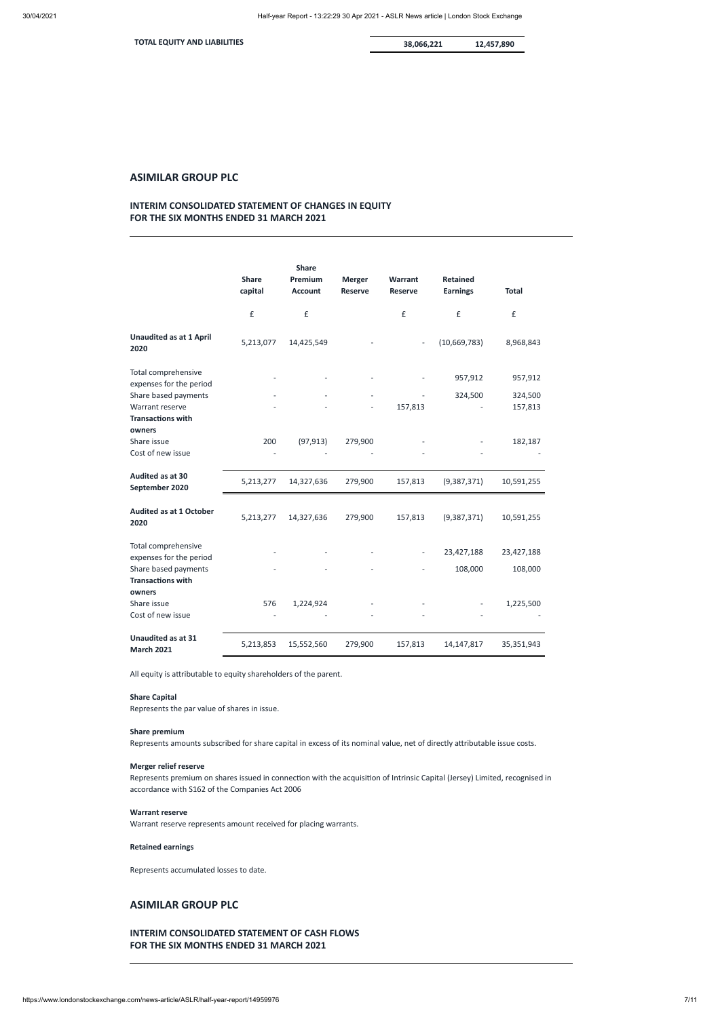**TOTAL EQUITY AND LIABILITIES 38,066,221 12,457,890**

# **ASIMILAR GROUP PLC**

# **INTERIM CONSOLIDATED STATEMENT OF CHANGES IN EQUITY FOR THE SIX MONTHS ENDED 31 MARCH 2021**

|                                                                                                                             | <b>Share</b><br>capital | <b>Share</b><br>Premium<br><b>Account</b> | <b>Merger</b><br><b>Reserve</b> | Warrant<br><b>Reserve</b> | <b>Retained</b><br><b>Earnings</b> | <b>Total</b>                       |
|-----------------------------------------------------------------------------------------------------------------------------|-------------------------|-------------------------------------------|---------------------------------|---------------------------|------------------------------------|------------------------------------|
|                                                                                                                             | £                       | £                                         |                                 | £                         | £                                  | £                                  |
| <b>Unaudited as at 1 April</b><br>2020                                                                                      | 5,213,077               | 14,425,549                                |                                 |                           | (10,669,783)                       | 8,968,843                          |
| Total comprehensive<br>expenses for the period<br>Share based payments<br>Warrant reserve<br><b>Transactions with</b>       |                         |                                           |                                 | 157,813                   | 957,912<br>324,500                 | 957,912<br>324,500<br>157,813      |
| owners<br>Share issue<br>Cost of new issue                                                                                  | 200                     | (97, 913)                                 | 279,900                         |                           |                                    | 182,187                            |
| Audited as at 30<br>September 2020                                                                                          | 5,213,277               | 14,327,636                                | 279,900                         | 157,813                   | (9, 387, 371)                      | 10,591,255                         |
| Audited as at 1 October<br>2020                                                                                             | 5,213,277               | 14,327,636                                | 279,900                         | 157,813                   | (9,387,371)                        | 10,591,255                         |
| Total comprehensive<br>expenses for the period<br>Share based payments<br><b>Transactions with</b><br>owners<br>Share issue | 576                     | 1,224,924                                 |                                 |                           | 23,427,188<br>108,000              | 23,427,188<br>108,000<br>1,225,500 |
| Cost of new issue                                                                                                           |                         |                                           |                                 |                           |                                    |                                    |
| Unaudited as at 31<br><b>March 2021</b>                                                                                     | 5,213,853               | 15,552,560                                | 279,900                         | 157,813                   | 14, 147, 817                       | 35,351,943                         |

All equity is attributable to equity shareholders of the parent.

Represents premium on shares issued in connection with the acquisition of Intrinsic Capital (Jersey) Limited, recognised in accordance with S162 of the Companies Act 2006

# **Share Capital**

Represents the par value of shares in issue.

#### **Share premium**

Represents amounts subscribed for share capital in excess of its nominal value, net of directly attributable issue costs.

#### **Merger relief reserve**

### **Warrant reserve**

Warrant reserve represents amount received for placing warrants.

# **Retained earnings**

Represents accumulated losses to date.

# **ASIMILAR GROUP PLC**

# **INTERIM CONSOLIDATED STATEMENT OF CASH FLOWS FOR THE SIX MONTHS ENDED 31 MARCH 2021**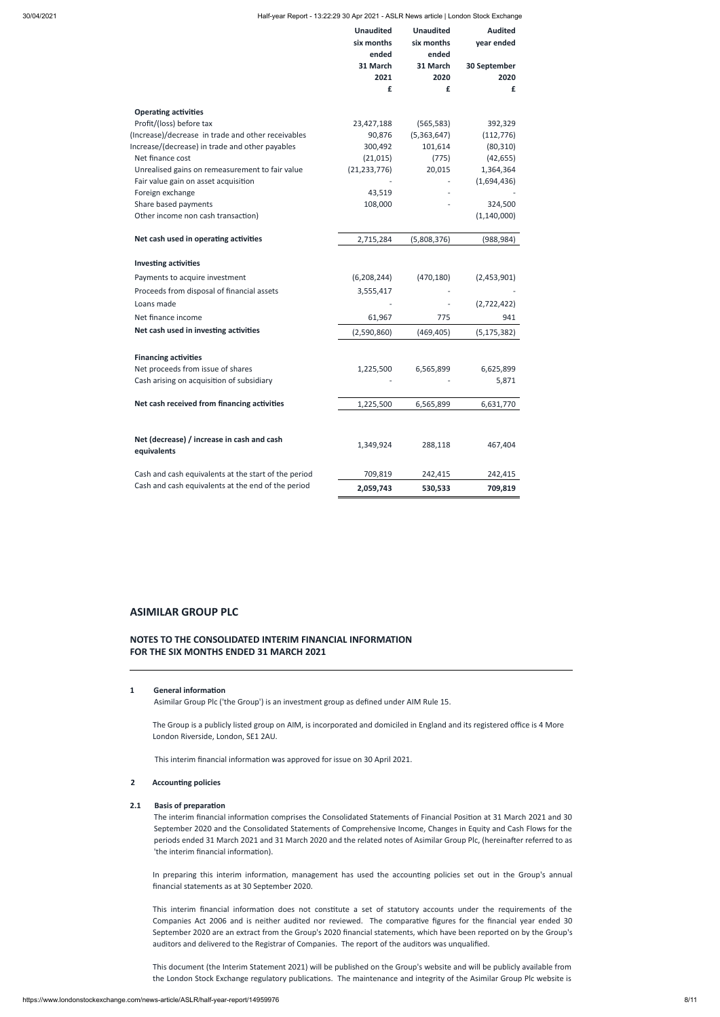|                                                           | <b>Unaudited</b><br>six months<br>ended<br>31 March<br>2021<br>£ | <b>Unaudited</b><br>six months<br>ended<br>31 March<br>2020<br>£ | <b>Audited</b><br>year ended<br>30 September<br>2020<br>£ |
|-----------------------------------------------------------|------------------------------------------------------------------|------------------------------------------------------------------|-----------------------------------------------------------|
|                                                           |                                                                  |                                                                  |                                                           |
| <b>Operating activities</b><br>Profit/(loss) before tax   | 23,427,188                                                       | (565, 583)                                                       | 392,329                                                   |
| (Increase)/decrease in trade and other receivables        | 90,876                                                           | (5,363,647)                                                      | (112, 776)                                                |
| Increase/(decrease) in trade and other payables           | 300,492                                                          | 101,614                                                          | (80, 310)                                                 |
| Net finance cost                                          | (21, 015)                                                        | (775)                                                            | (42, 655)                                                 |
| Unrealised gains on remeasurement to fair value           | (21, 233, 776)                                                   | 20,015                                                           | 1,364,364                                                 |
| Fair value gain on asset acquisition                      |                                                                  |                                                                  | (1,694,436)                                               |
| Foreign exchange                                          | 43,519                                                           |                                                                  |                                                           |
| Share based payments                                      | 108,000                                                          |                                                                  | 324,500                                                   |
| Other income non cash transaction)                        |                                                                  |                                                                  | (1, 140, 000)                                             |
| Net cash used in operating activities                     | 2,715,284                                                        | (5,808,376)                                                      | (988, 984)                                                |
| <b>Investing activities</b>                               |                                                                  |                                                                  |                                                           |
| Payments to acquire investment                            | (6,208,244)                                                      | (470, 180)                                                       | (2,453,901)                                               |
| Proceeds from disposal of financial assets                | 3,555,417                                                        |                                                                  |                                                           |
| Loans made                                                |                                                                  |                                                                  | (2,722,422)                                               |
| Net finance income                                        | 61,967                                                           | 775                                                              | 941                                                       |
| Net cash used in investing activities                     | (2,590,860)                                                      | (469, 405)                                                       | (5, 175, 382)                                             |
| <b>Financing activities</b>                               |                                                                  |                                                                  |                                                           |
| Net proceeds from issue of shares                         | 1,225,500                                                        | 6,565,899                                                        | 6,625,899                                                 |
| Cash arising on acquisition of subsidiary                 |                                                                  |                                                                  | 5,871                                                     |
| Net cash received from financing activities               | 1,225,500                                                        | 6,565,899                                                        | 6,631,770                                                 |
| Net (decrease) / increase in cash and cash<br>equivalents | 1,349,924                                                        | 288,118                                                          | 467,404                                                   |
| Cash and cash equivalents at the start of the period      | 709,819                                                          | 242,415                                                          | 242,415                                                   |
| Cash and cash equivalents at the end of the period        | 2,059,743                                                        | 530,533                                                          | 709,819                                                   |

In preparing this interim information, management has used the accounting policies set out in the Group's annual financial statements as at 30 September 2020.

This interim financial information does not constitute a set of statutory accounts under the requirements of the Companies Act 2006 and is neither audited nor reviewed. The comparative figures for the financial year ended 30 September 2020 are an extract from the Group's 2020 financial statements, which have been reported on by the Group's auditors and delivered to the Registrar of Companies. The report of the auditors was unqualified.

This document (the Interim Statement 2021) will be published on the Group's website and will be publicly available from the London Stock Exchange regulatory publications. The maintenance and integrity of the Asimilar Group Plc website is

# **ASIMILAR GROUP PLC**

# **NOTES TO THE CONSOLIDATED INTERIM FINANCIAL INFORMATION FOR THE SIX MONTHS ENDED 31 MARCH 2021**

# **1 General information**

Asimilar Group Plc ('the Group') is an investment group as defined under AIM Rule 15.

The Group is a publicly listed group on AIM, is incorporated and domiciled in England and its registered office is 4 More London Riverside, London, SE1 2AU.

This interim financial information was approved for issue on 30 April 2021.

### **2 Accounting policies**

#### **2.1 Basis of preparation**

The interim financial information comprises the Consolidated Statements of Financial Position at 31 March 2021 and 30 September 2020 and the Consolidated Statements of Comprehensive Income, Changes in Equity and Cash Flows for the periods ended 31 March 2021 and 31 March 2020 and the related notes of Asimilar Group Plc, (hereinafter referred to as 'the interim financial information).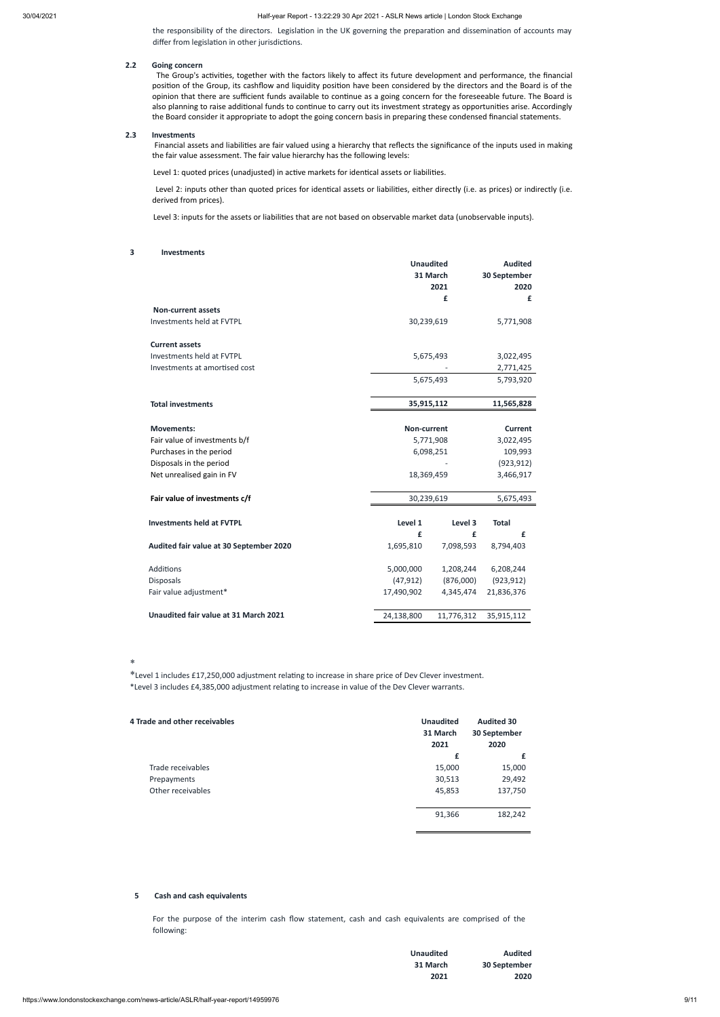the responsibility of the directors. Legislation in the UK governing the preparation and dissemination of accounts may differ from legislation in other jurisdictions.

### **2.2 Going concern**

The Group's activities, together with the factors likely to affect its future development and performance, the financial position of the Group, its cashflow and liquidity position have been considered by the directors and the Board is of the opinion that there are sufficient funds available to continue as a going concern for the foreseeable future. The Board is also planning to raise additional funds to continue to carry out its investment strategy as opportunities arise. Accordingly the Board consider it appropriate to adopt the going concern basis in preparing these condensed financial statements.

Level 2: inputs other than quoted prices for identical assets or liabilities, either directly (i.e. as prices) or indirectly (i.e. derived from prices).

Level 3: inputs for the assets or liabilities that are not based on observable market data (unobservable inputs).

#### **2.3 Investments**

Financial assets and liabilies are fair valued using a hierarchy that reflects the significance of the inputs used in making the fair value assessment. The fair value hierarchy has the following levels:

Level 1: quoted prices (unadjusted) in active markets for identical assets or liabilities.

#### **3 Investments**

|                                         | <b>Unaudited</b>   |            | <b>Audited</b> |
|-----------------------------------------|--------------------|------------|----------------|
|                                         |                    | 31 March   | 30 September   |
|                                         |                    | 2021       | 2020           |
|                                         |                    | £          | £              |
| <b>Non-current assets</b>               |                    |            |                |
| Investments held at FVTPL               | 30,239,619         |            | 5,771,908      |
| <b>Current assets</b>                   |                    |            |                |
| Investments held at FVTPL               |                    | 5,675,493  | 3,022,495      |
| Investments at amortised cost           |                    |            | 2,771,425      |
|                                         |                    | 5,675,493  | 5,793,920      |
| <b>Total investments</b>                | 35,915,112         |            | 11,565,828     |
|                                         |                    |            |                |
| <b>Movements:</b>                       | <b>Non-current</b> |            | <b>Current</b> |
| Fair value of investments b/f           |                    | 5,771,908  | 3,022,495      |
| Purchases in the period                 |                    | 6,098,251  | 109,993        |
| Disposals in the period                 |                    |            | (923, 912)     |
| Net unrealised gain in FV               | 18,369,459         |            | 3,466,917      |
| Fair value of investments c/f           | 30,239,619         |            | 5,675,493      |
| <b>Investments held at FVTPL</b>        | Level 1            | Level 3    | <b>Total</b>   |
|                                         | £                  | £          | £              |
| Audited fair value at 30 September 2020 | 1,695,810          | 7,098,593  | 8,794,403      |
| Additions                               | 5,000,000          | 1,208,244  | 6,208,244      |
| Disposals                               | (47, 912)          | (876,000)  | (923, 912)     |
| Fair value adjustment*                  | 17,490,902         | 4,345,474  | 21,836,376     |
| Unaudited fair value at 31 March 2021   | 24,138,800         | 11,776,312 | 35,915,112     |
|                                         |                    |            |                |

\*

\*Level 1 includes £17,250,000 adjustment relating to increase in share price of Dev Clever investment.

\*Level 3 includes £4,385,000 adjustment relang to increase in value of the Dev Clever warrants.

| 4 Trade and other receivables | <b>Unaudited</b> | <b>Audited 30</b> |
|-------------------------------|------------------|-------------------|
|                               | 31 March         | 30 September      |
|                               | 2021             | 2020              |
|                               | £                | £                 |
| Trade receivables             | 15,000           | 15,000            |
| Prepayments                   | 30,513           | 29,492            |
| Other receivables             | 45,853           | 137,750           |
|                               |                  |                   |
|                               | 91,366           | 182,242           |

### **5 Cash and cash equivalents**

For the purpose of the interim cash flow statement, cash and cash equivalents are comprised of the following:

| <b>Unaudited</b> | <b>Audited</b>      |
|------------------|---------------------|
| 31 March         | <b>30 September</b> |
| 2021             | 2020                |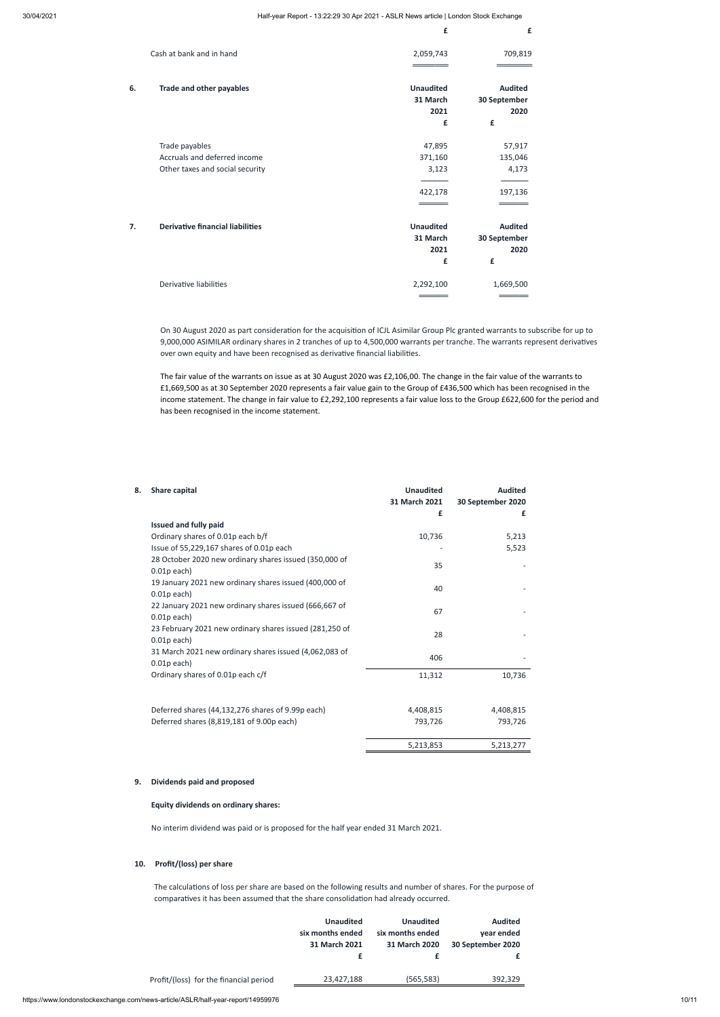|                                               | £                | £              |
|-----------------------------------------------|------------------|----------------|
| Cash at bank and in hand                      | 2,059,743        | 709,819        |
|                                               |                  |                |
| 6.<br>Trade and other payables                | <b>Unaudited</b> | <b>Audited</b> |
|                                               | 31 March         | 30 September   |
|                                               | 2021             | 2020           |
|                                               | £                | £              |
| Trade payables                                | 47,895           | 57,917         |
| Accruals and deferred income                  | 371,160          | 135,046        |
| Other taxes and social security               | 3,123            | 4,173          |
|                                               | 422,178          | 197,136        |
|                                               |                  |                |
| 7.<br><b>Derivative financial liabilities</b> | <b>Unaudited</b> | <b>Audited</b> |
|                                               | 31 March         | 30 September   |
|                                               | 2021             | 2020           |
|                                               | £                | £              |
| Derivative liabilities                        | 2,292,100        | 1,669,500      |
|                                               |                  |                |

On 30 August 2020 as part consideration for the acquisition of ICJL Asimilar Group Plc granted warrants to subscribe for up to 9,000,000 ASIMILAR ordinary shares in 2 tranches of up to 4,500,000 warrants per tranche. The warrants represent derivatives over own equity and have been recognised as derivative financial liabilities.

The fair value of the warrants on issue as at 30 August 2020 was £2,106,00. The change in the fair value of the warrants to £1,669,500 as at 30 September 2020 represents a fair value gain to the Group of £436,500 which has been recognised in the income statement. The change in fair value to £2,292,100 represents a fair value loss to the Group £622,600 for the period and has been recognised in the income statement.

| 8. | Share capital                                                            | <b>Unaudited</b> | <b>Audited</b>    |
|----|--------------------------------------------------------------------------|------------------|-------------------|
|    |                                                                          | 31 March 2021    | 30 September 2020 |
|    |                                                                          | £                | £                 |
|    | <b>Issued and fully paid</b>                                             |                  |                   |
|    | Ordinary shares of 0.01p each b/f                                        | 10,736           | 5,213             |
|    | Issue of 55,229,167 shares of 0.01p each                                 |                  | 5,523             |
|    | 28 October 2020 new ordinary shares issued (350,000 of<br>$0.01p$ each)  | 35               |                   |
|    | 19 January 2021 new ordinary shares issued (400,000 of<br>$0.01p$ each)  | 40               |                   |
|    | 22 January 2021 new ordinary shares issued (666,667 of<br>$0.01p$ each)  | 67               |                   |
|    | 23 February 2021 new ordinary shares issued (281,250 of<br>$0.01p$ each) | 28               |                   |
|    | 31 March 2021 new ordinary shares issued (4,062,083 of<br>$0.01p$ each)  | 406              |                   |
|    | Ordinary shares of 0.01p each c/f                                        | 11,312           | 10,736            |
|    | Deferred shares (44,132,276 shares of 9.99p each)                        | 4,408,815        | 4,408,815         |
|    | Deferred shares (8,819,181 of 9.00p each)                                | 793,726          | 793,726           |
|    |                                                                          | 5,213,853        | 5,213,277         |

## **9. Dividends paid and proposed**

# **Equity dividends on ordinary shares:**

No interim dividend was paid or is proposed for the half year ended 31 March 2021.

# **10. Profit/(loss) per share**

The calculations of loss per share are based on the following results and number of shares. For the purpose of comparatives it has been assumed that the share consolidation had already occurred.

|                                        | <b>Unaudited</b> | <b>Unaudited</b> | <b>Audited</b>    |
|----------------------------------------|------------------|------------------|-------------------|
|                                        | six months ended | six months ended | year ended        |
|                                        | 31 March 2021    | 31 March 2020    | 30 September 2020 |
|                                        |                  |                  |                   |
|                                        |                  |                  |                   |
| Profit/(loss) for the financial period | 23,427,188       | (565,583)        | 392,329           |